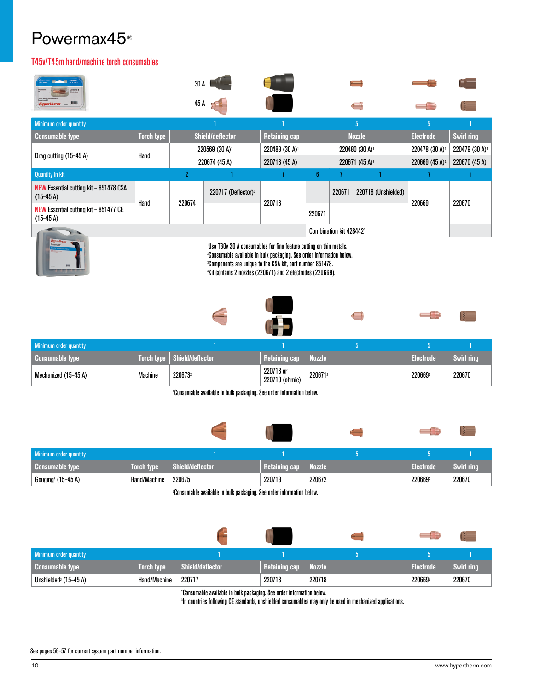### Powermax45®

#### T45v/T45m hand/machine torch consumables

| <b>Hypertherm</b><br>ш                              |                   | 30 A                                                                                                                                                                                                                                                                                              |                                   |                            |                            |                                     |                            |                            |        |
|-----------------------------------------------------|-------------------|---------------------------------------------------------------------------------------------------------------------------------------------------------------------------------------------------------------------------------------------------------------------------------------------------|-----------------------------------|----------------------------|----------------------------|-------------------------------------|----------------------------|----------------------------|--------|
|                                                     |                   | 45 A                                                                                                                                                                                                                                                                                              |                                   |                            |                            |                                     |                            |                            |        |
| Minimum order quantity                              |                   |                                                                                                                                                                                                                                                                                                   |                                   |                            |                            |                                     | 5 <sup>1</sup>             | $\overline{5}$             |        |
| <b>Consumable type</b>                              | <b>Torch type</b> |                                                                                                                                                                                                                                                                                                   | <b>Shield/deflector</b>           | <b>Retaining cap</b>       | <b>Nozzle</b>              |                                     | <b>Electrode</b>           | <b>Swirl ring</b>          |        |
|                                                     |                   | $220569$ (30 A) <sup>1</sup>                                                                                                                                                                                                                                                                      |                                   | 220483 (30 A) <sup>1</sup> | 220480 (30 A) <sup>1</sup> |                                     | 220478 (30 A) <sup>1</sup> | 220479 (30 A) <sup>1</sup> |        |
| Drag cutting $(15-45)$                              | Hand              | 220674 (45 A)                                                                                                                                                                                                                                                                                     |                                   | 220713 (45 A)              | 220671 (45 A) <sup>2</sup> |                                     | 220669 $(45 A)^2$          | 220670 (45 A)              |        |
| <b>Quantity in kit</b>                              |                   | 2                                                                                                                                                                                                                                                                                                 |                                   |                            | 6                          |                                     |                            |                            |        |
| NEW Essential cutting kit - 851478 CSA<br>$(15-45)$ |                   |                                                                                                                                                                                                                                                                                                   | $220717$ (Deflector) <sup>3</sup> |                            |                            | 220671                              | 220718 (Unshielded)        |                            |        |
| NEW Essential cutting kit - 851477 CE<br>$(15-45)$  | Hand              | 220674                                                                                                                                                                                                                                                                                            |                                   | 220713                     | 220671                     |                                     |                            | 220669                     | 220670 |
|                                                     |                   |                                                                                                                                                                                                                                                                                                   |                                   |                            |                            | Combination kit 428442 <sup>4</sup> |                            |                            |        |
|                                                     |                   | 'Use T30v 30 A consumables for fine feature cutting on thin metals.<br><sup>2</sup> Consumable available in bulk packaging. See order information below.<br><sup>3</sup> Components are unique to the CSA kit, part number 851478.<br>'Kit contains 2 nozzles (220671) and 2 electrodes (220669). |                                   |                            |                            |                                     |                            |                            |        |



| Minimum order quantity |                |                               |                             |         |           |            |
|------------------------|----------------|-------------------------------|-----------------------------|---------|-----------|------------|
| <b>Consumable type</b> |                | Torch type   Shield/deflector | <b>Retaining cap</b>        | Nozzle  | Electrode | Swirl ring |
| Mechanized (15–45 A)   | <b>Machine</b> | 220673                        | 220713 or<br>220719 (ohmic) | 2206712 | 220669    | 220670     |

2 Consumable available in bulk packaging. See order information below.



| Minimum order quantity         |                   |                         |                      |               |                |            |
|--------------------------------|-------------------|-------------------------|----------------------|---------------|----------------|------------|
| <b>Consumable type</b>         | <b>Torch type</b> | <b>Shield/deflector</b> | <b>Retaining cap</b> | <b>Nozzle</b> | .<br>Electrode | Swirl rina |
| Gouging <sup>5</sup> (15-45 A) | Hand/Machine      | 220675                  | 220713               | 220672        | 220669         | 220670     |

2 Consumable available in bulk packaging. See order information below.

|                                             |                   |                  |               |        |           | B                 |
|---------------------------------------------|-------------------|------------------|---------------|--------|-----------|-------------------|
| Minimum order quantity                      |                   |                  |               |        |           |                   |
| <b>Consumable type</b>                      | <b>Torch type</b> | Shield/deflector | Retaining cap | Nozzle | Electrode | <b>Swirl ring</b> |
| Unshielded <sup>3</sup> $(15-45 \text{ A})$ | Hand/Machine      | 220717           | 220713        | 220718 | 2206692   | 220670            |

2 Consumable available in bulk packaging. See order information below.

<sup>3</sup>In countries following CE standards, unshielded consumables may only be used in mechanized applications.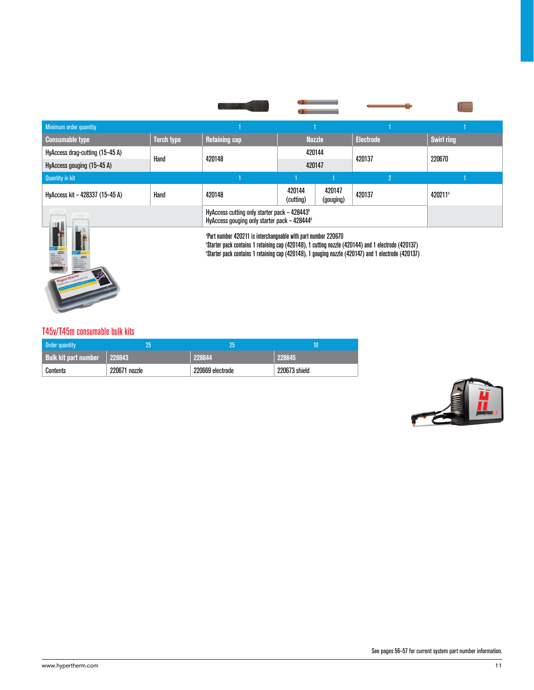| Minimum order quantity          |                                                                                                                                                                                                                                                                                                            |                                                                                                          |                     |                     |                  |                   |  |
|---------------------------------|------------------------------------------------------------------------------------------------------------------------------------------------------------------------------------------------------------------------------------------------------------------------------------------------------------|----------------------------------------------------------------------------------------------------------|---------------------|---------------------|------------------|-------------------|--|
| <b>Consumable type</b>          | <b>Torch type</b>                                                                                                                                                                                                                                                                                          | <b>Retaining cap</b>                                                                                     |                     | <b>Nozzle</b>       | <b>Electrode</b> | <b>Swirl ring</b> |  |
| HyAccess drag-cutting (15-45 A) | Hand                                                                                                                                                                                                                                                                                                       | 420148                                                                                                   | 420144              |                     | 420137           | 220670            |  |
| HyAccess gouging (15-45 A)      |                                                                                                                                                                                                                                                                                                            |                                                                                                          | 420147              |                     |                  |                   |  |
| <b>Quantity in kit</b>          |                                                                                                                                                                                                                                                                                                            |                                                                                                          |                     |                     | $\overline{2}$   |                   |  |
| HyAccess kit - 428337 (15-45 A) | Hand                                                                                                                                                                                                                                                                                                       | 420148                                                                                                   | 420144<br>(cutting) | 420147<br>(gouging) | 420137           | 4202114           |  |
|                                 |                                                                                                                                                                                                                                                                                                            | HyAccess cutting only starter pack - 428443 <sup>5</sup><br>HyAccess gouging only starter pack - 4284446 |                     |                     |                  |                   |  |
|                                 | <b>Part number 420211 is interchangeable with part number 220670</b><br><sup>5</sup> Starter pack contains 1 retaining cap (420148), 1 cutting nozzle (420144) and 1 electrode (420137)<br><sup>6</sup> Starter pack contains 1 retaining cap (420148), 1 gouging nozzle (420147) and 1 electrode (420137) |                                                                                                          |                     |                     |                  |                   |  |

### T45v/T45m consumable bulk kits

| <b>Order quantity</b>       | 25            | 25               | 10            |
|-----------------------------|---------------|------------------|---------------|
| <b>Bulk kit part number</b> | 228843        | 228844           | 228845        |
| Contents                    | 220671 nozzle | 220669 electrode | 220673 shield |

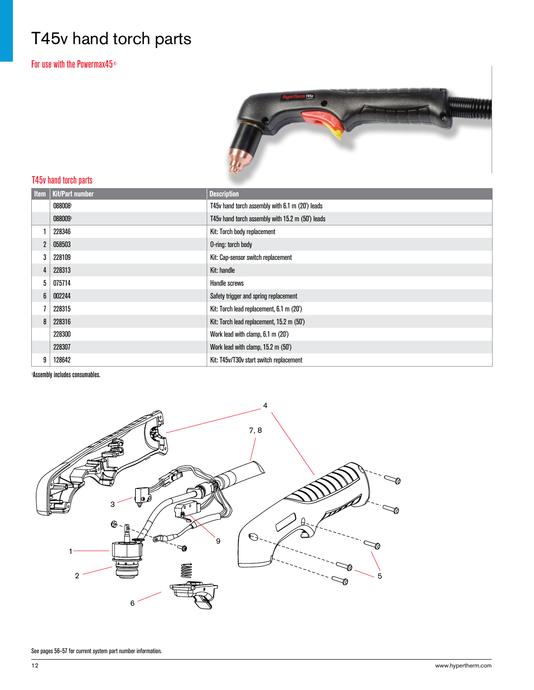# T45v hand torch parts

For use with the Powermax45®



### T45v hand torch parts

| <b>Item</b>    | <b>Kit/Part number</b> | <b>Description</b>                               |
|----------------|------------------------|--------------------------------------------------|
|                | 0880081                | T45v hand torch assembly with 6.1 m (20') leads  |
|                | 0880091                | T45v hand torch assembly with 15.2 m (50') leads |
|                | 228346                 | Kit: Torch body replacement                      |
| $\overline{2}$ | 058503                 | O-ring: torch body                               |
| 3              | 228109                 | Kit: Cap-sensor switch replacement               |
| 4              | 228313                 | Kit: handle                                      |
| 5              | 075714                 | Handle screws                                    |
| 6              | 002244                 | Safety trigger and spring replacement            |
|                | 228315                 | Kit: Torch lead replacement, 6.1 m (20')         |
| 8              | 228316                 | Kit: Torch lead replacement, 15.2 m (50')        |
|                | 228300                 | Work lead with clamp, 6.1 m (20')                |
|                | 228307                 | Work lead with clamp, 15.2 m (50')               |
| 9              | 128642                 | Kit: T45v/T30v start switch replacement          |

Assembly includes consumables.